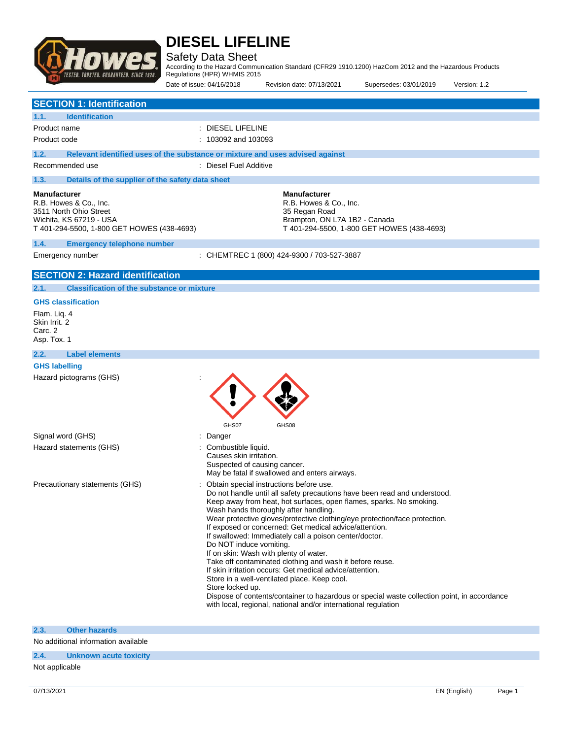

Safety Data Sheet

According to the Hazard Communication Standard (CFR29 1910.1200) HazCom 2012 and the Hazardous Products Regulations (HPR) WHMIS 2015

|                                                                                                                                                  | Date of issue: 04/16/2018                                                     | Revision date: 07/13/2021                                                                                                                                                                                                                                                                                                                                                                                                                                                                                                                                                                                                                                                                                                                                                                                                 | Supersedes: 03/01/2019                     | Version: 1.2 |
|--------------------------------------------------------------------------------------------------------------------------------------------------|-------------------------------------------------------------------------------|---------------------------------------------------------------------------------------------------------------------------------------------------------------------------------------------------------------------------------------------------------------------------------------------------------------------------------------------------------------------------------------------------------------------------------------------------------------------------------------------------------------------------------------------------------------------------------------------------------------------------------------------------------------------------------------------------------------------------------------------------------------------------------------------------------------------------|--------------------------------------------|--------------|
| <b>SECTION 1: Identification</b>                                                                                                                 |                                                                               |                                                                                                                                                                                                                                                                                                                                                                                                                                                                                                                                                                                                                                                                                                                                                                                                                           |                                            |              |
| 1.1.<br><b>Identification</b>                                                                                                                    |                                                                               |                                                                                                                                                                                                                                                                                                                                                                                                                                                                                                                                                                                                                                                                                                                                                                                                                           |                                            |              |
| Product name                                                                                                                                     | DIESEL LIFELINE                                                               |                                                                                                                                                                                                                                                                                                                                                                                                                                                                                                                                                                                                                                                                                                                                                                                                                           |                                            |              |
| Product code                                                                                                                                     | : 103092 and 103093                                                           |                                                                                                                                                                                                                                                                                                                                                                                                                                                                                                                                                                                                                                                                                                                                                                                                                           |                                            |              |
| 1.2.                                                                                                                                             | Relevant identified uses of the substance or mixture and uses advised against |                                                                                                                                                                                                                                                                                                                                                                                                                                                                                                                                                                                                                                                                                                                                                                                                                           |                                            |              |
| Recommended use                                                                                                                                  | : Diesel Fuel Additive                                                        |                                                                                                                                                                                                                                                                                                                                                                                                                                                                                                                                                                                                                                                                                                                                                                                                                           |                                            |              |
| 1.3.                                                                                                                                             | Details of the supplier of the safety data sheet                              |                                                                                                                                                                                                                                                                                                                                                                                                                                                                                                                                                                                                                                                                                                                                                                                                                           |                                            |              |
| <b>Manufacturer</b><br>R.B. Howes & Co., Inc.<br>3511 North Ohio Street<br>Wichita, KS 67219 - USA<br>T 401-294-5500, 1-800 GET HOWES (438-4693) |                                                                               | <b>Manufacturer</b><br>R.B. Howes & Co., Inc.<br>35 Regan Road<br>Brampton, ON L7A 1B2 - Canada                                                                                                                                                                                                                                                                                                                                                                                                                                                                                                                                                                                                                                                                                                                           | T 401-294-5500, 1-800 GET HOWES (438-4693) |              |
| 1.4.<br><b>Emergency telephone number</b>                                                                                                        |                                                                               |                                                                                                                                                                                                                                                                                                                                                                                                                                                                                                                                                                                                                                                                                                                                                                                                                           |                                            |              |
| Emergency number                                                                                                                                 |                                                                               | : CHEMTREC 1 (800) 424-9300 / 703-527-3887                                                                                                                                                                                                                                                                                                                                                                                                                                                                                                                                                                                                                                                                                                                                                                                |                                            |              |
| <b>SECTION 2: Hazard identification</b>                                                                                                          |                                                                               |                                                                                                                                                                                                                                                                                                                                                                                                                                                                                                                                                                                                                                                                                                                                                                                                                           |                                            |              |
| <b>Classification of the substance or mixture</b><br>2.1.                                                                                        |                                                                               |                                                                                                                                                                                                                                                                                                                                                                                                                                                                                                                                                                                                                                                                                                                                                                                                                           |                                            |              |
| <b>GHS classification</b><br>Flam. Liq. 4<br>Skin Irrit. 2<br>Carc. 2<br>Asp. Tox. 1                                                             |                                                                               |                                                                                                                                                                                                                                                                                                                                                                                                                                                                                                                                                                                                                                                                                                                                                                                                                           |                                            |              |
| 2.2.<br><b>Label elements</b>                                                                                                                    |                                                                               |                                                                                                                                                                                                                                                                                                                                                                                                                                                                                                                                                                                                                                                                                                                                                                                                                           |                                            |              |
| <b>GHS labelling</b>                                                                                                                             |                                                                               |                                                                                                                                                                                                                                                                                                                                                                                                                                                                                                                                                                                                                                                                                                                                                                                                                           |                                            |              |
| Hazard pictograms (GHS)                                                                                                                          | GHS07                                                                         | GHS08                                                                                                                                                                                                                                                                                                                                                                                                                                                                                                                                                                                                                                                                                                                                                                                                                     |                                            |              |
| Signal word (GHS)                                                                                                                                | Danger                                                                        |                                                                                                                                                                                                                                                                                                                                                                                                                                                                                                                                                                                                                                                                                                                                                                                                                           |                                            |              |
| Hazard statements (GHS)                                                                                                                          | Combustible liquid.<br>Causes skin irritation.                                | Suspected of causing cancer.<br>May be fatal if swallowed and enters airways.                                                                                                                                                                                                                                                                                                                                                                                                                                                                                                                                                                                                                                                                                                                                             |                                            |              |
| Precautionary statements (GHS)                                                                                                                   | Do NOT induce vomiting.<br>Store locked up.                                   | Obtain special instructions before use.<br>Do not handle until all safety precautions have been read and understood.<br>Keep away from heat, hot surfaces, open flames, sparks. No smoking.<br>Wash hands thoroughly after handling.<br>Wear protective gloves/protective clothing/eye protection/face protection.<br>If exposed or concerned: Get medical advice/attention.<br>If swallowed: Immediately call a poison center/doctor.<br>If on skin: Wash with plenty of water.<br>Take off contaminated clothing and wash it before reuse.<br>If skin irritation occurs: Get medical advice/attention.<br>Store in a well-ventilated place. Keep cool.<br>Dispose of contents/container to hazardous or special waste collection point, in accordance<br>with local, regional, national and/or international regulation |                                            |              |
| <b>Other hazards</b><br>2.3.                                                                                                                     |                                                                               |                                                                                                                                                                                                                                                                                                                                                                                                                                                                                                                                                                                                                                                                                                                                                                                                                           |                                            |              |

No additional information available

### **2.4. Unknown acute toxicity**

Not applicable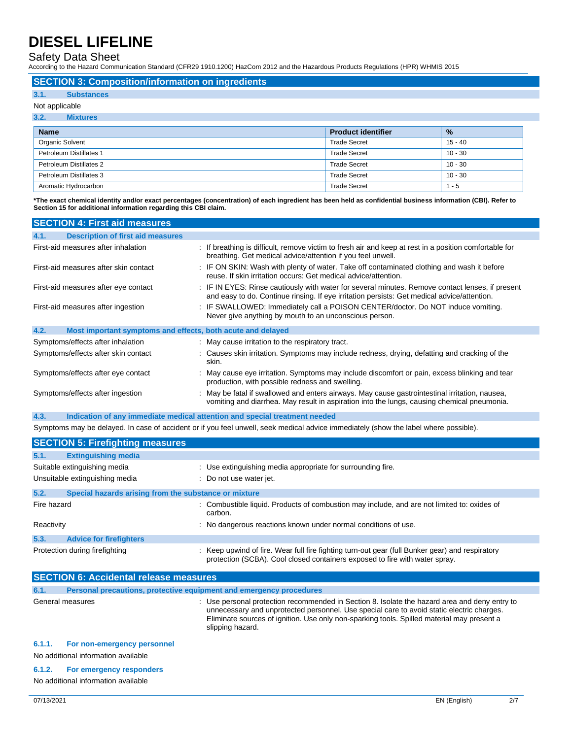Safety Data Sheet

According to the Hazard Communication Standard (CFR29 1910.1200) HazCom 2012 and the Hazardous Products Regulations (HPR) WHMIS 2015

### **SECTION 3: Composition/information on ingredients**

#### **3.1. Substances**

#### Not applicable

| 3.2.<br><b>Mixtures</b> |                           |               |
|-------------------------|---------------------------|---------------|
| <b>Name</b>             | <b>Product identifier</b> | $\frac{9}{6}$ |
| Organic Solvent         | <b>Trade Secret</b>       | $15 - 40$     |
| Petroleum Distillates 1 | <b>Trade Secret</b>       | $10 - 30$     |
| Petroleum Distillates 2 | <b>Trade Secret</b>       | $10 - 30$     |
| Petroleum Distillates 3 | <b>Trade Secret</b>       | $10 - 30$     |
| Aromatic Hydrocarbon    | <b>Trade Secret</b>       | $1 - 5$       |

**\*The exact chemical identity and/or exact percentages (concentration) of each ingredient has been held as confidential business information (CBI). Refer to Section 15 for additional information regarding this CBI claim.**

| <b>SECTION 4: First aid measures</b>                                |                                                                                                                                                                                                 |
|---------------------------------------------------------------------|-------------------------------------------------------------------------------------------------------------------------------------------------------------------------------------------------|
| <b>Description of first aid measures</b><br>4.1.                    |                                                                                                                                                                                                 |
| First-aid measures after inhalation                                 | : If breathing is difficult, remove victim to fresh air and keep at rest in a position comfortable for<br>breathing. Get medical advice/attention if you feel unwell.                           |
| First-aid measures after skin contact                               | : IF ON SKIN: Wash with plenty of water. Take off contaminated clothing and wash it before<br>reuse. If skin irritation occurs: Get medical advice/attention.                                   |
| First-aid measures after eye contact                                | : IF IN EYES: Rinse cautiously with water for several minutes. Remove contact lenses, if present<br>and easy to do. Continue rinsing. If eye irritation persists: Get medical advice/attention. |
| First-aid measures after ingestion                                  | : IF SWALLOWED: Immediately call a POISON CENTER/doctor. Do NOT induce vomiting.<br>Never give anything by mouth to an unconscious person.                                                      |
| 4.2.<br>Most important symptoms and effects, both acute and delayed |                                                                                                                                                                                                 |
| Symptoms/effects after inhalation                                   | : May cause irritation to the respiratory tract.                                                                                                                                                |
| Symptoms/effects after skin contact                                 | : Causes skin irritation. Symptoms may include redness, drying, defatting and cracking of the<br>skin.                                                                                          |
| Symptoms/effects after eye contact                                  | : May cause eye irritation. Symptoms may include discomfort or pain, excess blinking and tear<br>production, with possible redness and swelling.                                                |
| Symptoms/effects after ingestion                                    | : May be fatal if swallowed and enters airways. May cause gastrointestinal irritation, nausea,<br>vomiting and diarrhea. May result in aspiration into the lungs, causing chemical pneumonia.   |

**4.3. Indication of any immediate medical attention and special treatment needed**

Symptoms may be delayed. In case of accident or if you feel unwell, seek medical advice immediately (show the label where possible).

|             | <b>SECTION 5: Firefighting measures</b>                                                     |                                                                                                                                                                                |  |
|-------------|---------------------------------------------------------------------------------------------|--------------------------------------------------------------------------------------------------------------------------------------------------------------------------------|--|
| 5.1.        | <b>Extinguishing media</b>                                                                  |                                                                                                                                                                                |  |
|             | : Use extinguishing media appropriate for surrounding fire.<br>Suitable extinguishing media |                                                                                                                                                                                |  |
|             | Unsuitable extinguishing media                                                              | : Do not use water jet.                                                                                                                                                        |  |
| 5.2.        | Special hazards arising from the substance or mixture                                       |                                                                                                                                                                                |  |
| Fire hazard |                                                                                             | : Combustible liquid. Products of combustion may include, and are not limited to: oxides of<br>carbon.                                                                         |  |
| Reactivity  |                                                                                             | : No dangerous reactions known under normal conditions of use.                                                                                                                 |  |
| 5.3.        | <b>Advice for firefighters</b>                                                              |                                                                                                                                                                                |  |
|             | Protection during firefighting                                                              | : Keep upwind of fire. Wear full fire fighting turn-out gear (full Bunker gear) and respiratory<br>protection (SCBA). Cool closed containers exposed to fire with water spray. |  |

| <b>SECTION 6: Accidental release measures</b> |                                                                     |                                                                                                                                                                                                                                                                                                            |
|-----------------------------------------------|---------------------------------------------------------------------|------------------------------------------------------------------------------------------------------------------------------------------------------------------------------------------------------------------------------------------------------------------------------------------------------------|
| 6.1.                                          | Personal precautions, protective equipment and emergency procedures |                                                                                                                                                                                                                                                                                                            |
|                                               | General measures<br>÷                                               | Use personal protection recommended in Section 8. Isolate the hazard area and deny entry to<br>unnecessary and unprotected personnel. Use special care to avoid static electric charges.<br>Eliminate sources of ignition. Use only non-sparking tools. Spilled material may present a<br>slipping hazard. |
| 6.1.1.                                        | For non-emergency personnel<br>No additional information available  |                                                                                                                                                                                                                                                                                                            |
|                                               |                                                                     |                                                                                                                                                                                                                                                                                                            |

### **6.1.2. For emergency responders**

No additional information available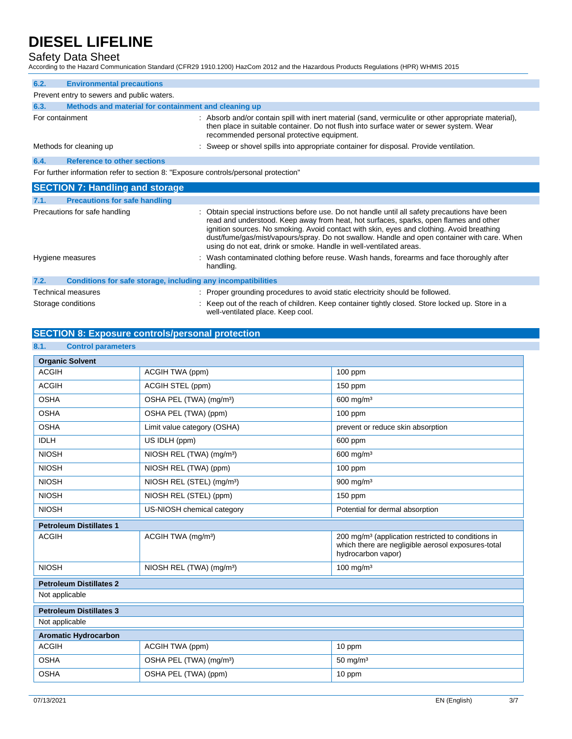## Safety Data Sheet

According to the Hazard Communication Standard (CFR29 1910.1200) HazCom 2012 and the Hazardous Products Regulations (HPR) WHMIS 2015

| 6.2.            | <b>Environmental precautions</b>                                                    |                                                                                                                                                                                                                                               |  |
|-----------------|-------------------------------------------------------------------------------------|-----------------------------------------------------------------------------------------------------------------------------------------------------------------------------------------------------------------------------------------------|--|
|                 | Prevent entry to sewers and public waters.                                          |                                                                                                                                                                                                                                               |  |
| 6.3.            | Methods and material for containment and cleaning up                                |                                                                                                                                                                                                                                               |  |
| For containment |                                                                                     | : Absorb and/or contain spill with inert material (sand, vermiculite or other appropriate material),<br>then place in suitable container. Do not flush into surface water or sewer system. Wear<br>recommended personal protective equipment. |  |
|                 | Methods for cleaning up                                                             | : Sweep or shovel spills into appropriate container for disposal. Provide ventilation.                                                                                                                                                        |  |
| 6.4.            | <b>Reference to other sections</b>                                                  |                                                                                                                                                                                                                                               |  |
|                 | For further information refer to section 8: "Exposure controls/personal protection" |                                                                                                                                                                                                                                               |  |

| <b>SECTION 7: Handling and storage</b>       |                                                                                                                                                                                                                                                                                                                                                                                                                                                           |
|----------------------------------------------|-----------------------------------------------------------------------------------------------------------------------------------------------------------------------------------------------------------------------------------------------------------------------------------------------------------------------------------------------------------------------------------------------------------------------------------------------------------|
| <b>Precautions for safe handling</b><br>7.1. |                                                                                                                                                                                                                                                                                                                                                                                                                                                           |
| Precautions for safe handling                | : Obtain special instructions before use. Do not handle until all safety precautions have been<br>read and understood. Keep away from heat, hot surfaces, sparks, open flames and other<br>ignition sources. No smoking. Avoid contact with skin, eyes and clothing. Avoid breathing<br>dust/fume/gas/mist/vapours/spray. Do not swallow. Handle and open container with care. When<br>using do not eat, drink or smoke. Handle in well-ventilated areas. |
| Hygiene measures                             | : Wash contaminated clothing before reuse. Wash hands, forearms and face thoroughly after<br>handling.                                                                                                                                                                                                                                                                                                                                                    |
| 7.2.                                         | Conditions for safe storage, including any incompatibilities                                                                                                                                                                                                                                                                                                                                                                                              |
| Technical measures                           | : Proper grounding procedures to avoid static electricity should be followed.                                                                                                                                                                                                                                                                                                                                                                             |
| Storage conditions                           | : Keep out of the reach of children. Keep container tightly closed. Store locked up. Store in a<br>well-ventilated place. Keep cool.                                                                                                                                                                                                                                                                                                                      |

### **SECTION 8: Exposure controls/personal protection**

### **8.1. Control parameters**

| <b>Organic Solvent</b>         |                                       |                                                                                                                                            |  |
|--------------------------------|---------------------------------------|--------------------------------------------------------------------------------------------------------------------------------------------|--|
| <b>ACGIH</b>                   | ACGIH TWA (ppm)                       | $100$ ppm                                                                                                                                  |  |
| <b>ACGIH</b>                   | ACGIH STEL (ppm)                      | 150 ppm                                                                                                                                    |  |
| <b>OSHA</b>                    | OSHA PEL (TWA) (mg/m <sup>3</sup> )   | $600$ mg/m <sup>3</sup>                                                                                                                    |  |
| <b>OSHA</b>                    | OSHA PEL (TWA) (ppm)                  | 100 ppm                                                                                                                                    |  |
| <b>OSHA</b>                    | Limit value category (OSHA)           | prevent or reduce skin absorption                                                                                                          |  |
| <b>IDLH</b>                    | US IDLH (ppm)                         | 600 ppm                                                                                                                                    |  |
| <b>NIOSH</b>                   | NIOSH REL (TWA) (mg/m <sup>3</sup> )  | $600$ mg/m <sup>3</sup>                                                                                                                    |  |
| <b>NIOSH</b>                   | NIOSH REL (TWA) (ppm)                 | $100$ ppm                                                                                                                                  |  |
| <b>NIOSH</b>                   | NIOSH REL (STEL) (mg/m <sup>3</sup> ) | 900 mg/m $3$                                                                                                                               |  |
| <b>NIOSH</b>                   | NIOSH REL (STEL) (ppm)                | $150$ ppm                                                                                                                                  |  |
| <b>NIOSH</b>                   | US-NIOSH chemical category            | Potential for dermal absorption                                                                                                            |  |
|                                | <b>Petroleum Distillates 1</b>        |                                                                                                                                            |  |
|                                |                                       |                                                                                                                                            |  |
| <b>ACGIH</b>                   | ACGIH TWA (mg/m <sup>3</sup> )        | 200 mg/m <sup>3</sup> (application restricted to conditions in<br>which there are negligible aerosol exposures-total<br>hydrocarbon vapor) |  |
| <b>NIOSH</b>                   | NIOSH REL (TWA) (mg/m <sup>3</sup> )  | 100 mg/m $3$                                                                                                                               |  |
| <b>Petroleum Distillates 2</b> |                                       |                                                                                                                                            |  |
| Not applicable                 |                                       |                                                                                                                                            |  |
| <b>Petroleum Distillates 3</b> |                                       |                                                                                                                                            |  |
| Not applicable                 |                                       |                                                                                                                                            |  |
| <b>Aromatic Hydrocarbon</b>    |                                       |                                                                                                                                            |  |
| <b>ACGIH</b>                   | ACGIH TWA (ppm)                       | 10 ppm                                                                                                                                     |  |
| <b>OSHA</b>                    | OSHA PEL (TWA) (mg/m <sup>3</sup> )   | $50 \text{ mg/m}^3$                                                                                                                        |  |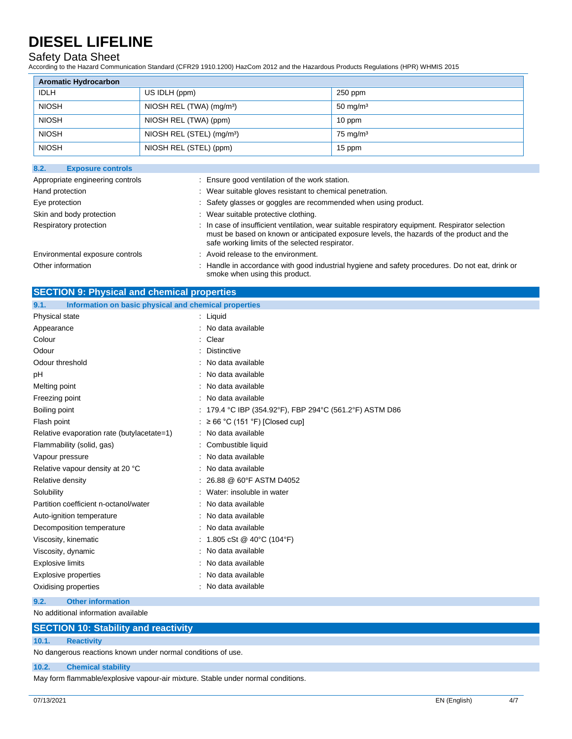# Safety Data Sheet

According to the Hazard Communication Standard (CFR29 1910.1200) HazCom 2012 and the Hazardous Products Regulations (HPR) WHMIS 2015

| <b>Aromatic Hydrocarbon</b> |                                       |                     |
|-----------------------------|---------------------------------------|---------------------|
| <b>IDLH</b>                 | US IDLH (ppm)                         | $250$ ppm           |
| <b>NIOSH</b>                | NIOSH REL (TWA) (mg/m <sup>3</sup> )  | $50 \text{ mg/m}^3$ |
| <b>NIOSH</b>                | NIOSH REL (TWA) (ppm)                 | 10 ppm              |
| <b>NIOSH</b>                | NIOSH REL (STEL) (mg/m <sup>3</sup> ) | $75 \text{ mg/m}^3$ |
| <b>NIOSH</b>                | NIOSH REL (STEL) (ppm)                | 15 ppm              |

### **8.2. Exposure controls**

| Appropriate engineering controls | : Ensure good ventilation of the work station.                                                                                                                                                                                                   |
|----------------------------------|--------------------------------------------------------------------------------------------------------------------------------------------------------------------------------------------------------------------------------------------------|
| Hand protection                  | : Wear suitable gloves resistant to chemical penetration.                                                                                                                                                                                        |
| Eye protection                   | : Safety glasses or goggles are recommended when using product.                                                                                                                                                                                  |
| Skin and body protection         | : Wear suitable protective clothing.                                                                                                                                                                                                             |
| Respiratory protection           | : In case of insufficient ventilation, wear suitable respiratory equipment. Respirator selection<br>must be based on known or anticipated exposure levels, the hazards of the product and the<br>safe working limits of the selected respirator. |
| Environmental exposure controls  | : Avoid release to the environment.                                                                                                                                                                                                              |
| Other information                | Handle in accordance with good industrial hygiene and safety procedures. Do not eat, drink or<br>smoke when using this product.                                                                                                                  |

# **SECTION 9: Physical and chemical properties**

| Information on basic physical and chemical properties<br>9.1. |                                                         |  |
|---------------------------------------------------------------|---------------------------------------------------------|--|
| Physical state                                                | $:$ Liquid                                              |  |
| Appearance                                                    | No data available                                       |  |
| Colour                                                        | Clear                                                   |  |
| Odour                                                         | <b>Distinctive</b>                                      |  |
| Odour threshold                                               | No data available                                       |  |
| pH                                                            | No data available                                       |  |
| Melting point                                                 | No data available                                       |  |
| Freezing point                                                | No data available                                       |  |
| Boiling point                                                 | : 179.4 °C IBP (354.92°F), FBP 294°C (561.2°F) ASTM D86 |  |
| Flash point                                                   | $: \geq 66$ °C (151 °F) [Closed cup]                    |  |
| Relative evaporation rate (butylacetate=1)                    | No data available                                       |  |
| Flammability (solid, gas)                                     | Combustible liquid                                      |  |
| Vapour pressure                                               | No data available                                       |  |
| Relative vapour density at 20 °C                              | No data available                                       |  |
| Relative density                                              | 26.88 @ 60°F ASTM D4052                                 |  |
| Solubility                                                    | Water: insoluble in water                               |  |
| Partition coefficient n-octanol/water                         | No data available                                       |  |
| Auto-ignition temperature                                     | No data available                                       |  |
| Decomposition temperature                                     | : No data available                                     |  |
| Viscosity, kinematic                                          | : 1.805 cSt @ 40°C (104°F)                              |  |
| Viscosity, dynamic                                            | No data available                                       |  |
| <b>Explosive limits</b>                                       | No data available                                       |  |
| Explosive properties                                          | No data available                                       |  |
| Oxidising properties                                          | No data available                                       |  |
|                                                               |                                                         |  |

**9.2. Other information**

No additional information available

# **SECTION 10: Stability and reactivity**

**10.1. Reactivity**

No dangerous reactions known under normal conditions of use.

### **10.2. Chemical stability**

May form flammable/explosive vapour-air mixture. Stable under normal conditions.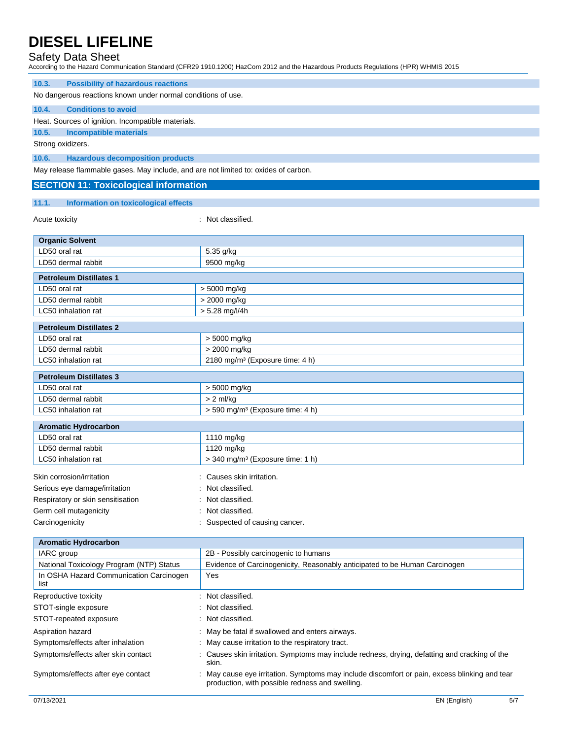## Safety Data Sheet

According to the Hazard Communication Standard (CFR29 1910.1200) HazCom 2012 and the Hazardous Products Regulations (HPR) WHMIS 2015

| <b>Possibility of hazardous reactions</b><br>10.3.                                  |                                              |  |
|-------------------------------------------------------------------------------------|----------------------------------------------|--|
| No dangerous reactions known under normal conditions of use.                        |                                              |  |
| 10.4.<br><b>Conditions to avoid</b>                                                 |                                              |  |
| Heat. Sources of ignition. Incompatible materials.                                  |                                              |  |
| 10.5.<br><b>Incompatible materials</b>                                              |                                              |  |
| Strong oxidizers.                                                                   |                                              |  |
| 10.6.<br><b>Hazardous decomposition products</b>                                    |                                              |  |
| May release flammable gases. May include, and are not limited to: oxides of carbon. |                                              |  |
| <b>SECTION 11: Toxicological information</b>                                        |                                              |  |
| 11.1.<br>Information on toxicological effects                                       |                                              |  |
| Acute toxicity                                                                      | : Not classified.                            |  |
|                                                                                     |                                              |  |
| <b>Organic Solvent</b>                                                              |                                              |  |
| LD50 oral rat                                                                       | 5.35 g/kg                                    |  |
| LD50 dermal rabbit                                                                  | 9500 mg/kg                                   |  |
| <b>Petroleum Distillates 1</b>                                                      |                                              |  |
| LD50 oral rat                                                                       | > 5000 mg/kg                                 |  |
| LD50 dermal rabbit                                                                  | > 2000 mg/kg                                 |  |
| LC50 inhalation rat                                                                 | > 5.28 mg/l/4h                               |  |
| <b>Petroleum Distillates 2</b>                                                      |                                              |  |
| LD50 oral rat                                                                       | > 5000 mg/kg                                 |  |
| LD50 dermal rabbit                                                                  | > 2000 mg/kg                                 |  |
| LC50 inhalation rat                                                                 | 2180 mg/m <sup>3</sup> (Exposure time: 4 h)  |  |
| <b>Petroleum Distillates 3</b>                                                      |                                              |  |
| LD50 oral rat                                                                       | > 5000 mg/kg                                 |  |
| LD50 dermal rabbit                                                                  | $> 2$ ml/kg                                  |  |
| LC50 inhalation rat                                                                 | > 590 mg/m <sup>3</sup> (Exposure time: 4 h) |  |
| <b>Aromatic Hydrocarbon</b>                                                         |                                              |  |
| LD50 oral rat                                                                       | 1110 mg/kg                                   |  |
| LD50 dermal rabbit                                                                  | 1120 mg/kg                                   |  |
| LC50 inhalation rat                                                                 | > 340 mg/m <sup>3</sup> (Exposure time: 1 h) |  |

| Skin corrosion/irritation         | : Causes skin irritation.      |
|-----------------------------------|--------------------------------|
| Serious eye damage/irritation     | : Not classified.              |
| Respiratory or skin sensitisation | : Not classified.              |
| Germ cell mutagenicity            | : Not classified.              |
| Carcinogenicity                   | : Suspected of causing cancer. |

| <b>Aromatic Hydrocarbon</b>                     |                                                                                                                                                  |
|-------------------------------------------------|--------------------------------------------------------------------------------------------------------------------------------------------------|
| IARC group                                      | 2B - Possibly carcinogenic to humans                                                                                                             |
| National Toxicology Program (NTP) Status        | Evidence of Carcinogenicity, Reasonably anticipated to be Human Carcinogen                                                                       |
| In OSHA Hazard Communication Carcinogen<br>list | Yes                                                                                                                                              |
| Reproductive toxicity                           | : Not classified.                                                                                                                                |
| STOT-single exposure                            | : Not classified.                                                                                                                                |
| STOT-repeated exposure                          | : Not classified.                                                                                                                                |
| Aspiration hazard                               | : May be fatal if swallowed and enters airways.                                                                                                  |
| Symptoms/effects after inhalation               | : May cause irritation to the respiratory tract.                                                                                                 |
| Symptoms/effects after skin contact             | : Causes skin irritation. Symptoms may include redness, drying, defatting and cracking of the<br>skin.                                           |
| Symptoms/effects after eye contact              | : May cause eye irritation. Symptoms may include discomfort or pain, excess blinking and tear<br>production, with possible redness and swelling. |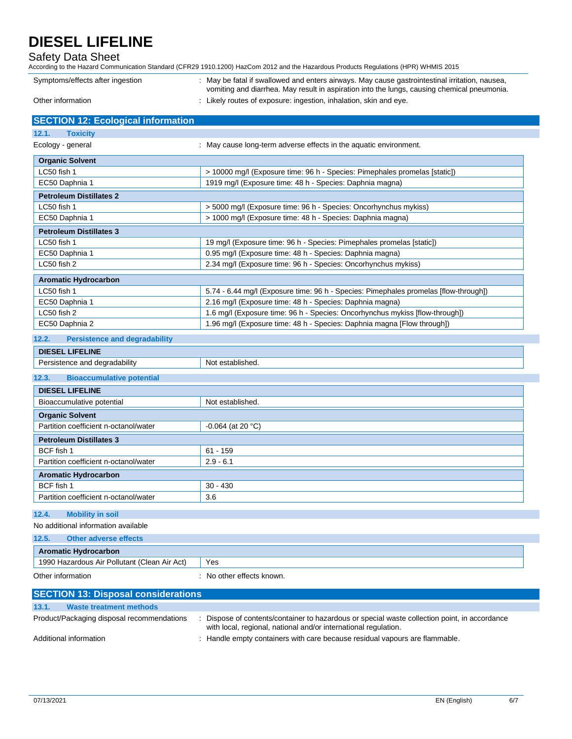## Safety Data Sheet

According to the Hazard Communication Standard (CFR29 1910.1200) HazCom 2012 and the Hazardous Products Regulations (HPR) WHMIS 2015

| Symptoms/effects after ingestion | : May be fatal if swallowed and enters airways. May cause gastrointestinal irritation, nausea,<br>vomiting and diarrhea. May result in aspiration into the lungs, causing chemical pneumonia. |  |
|----------------------------------|-----------------------------------------------------------------------------------------------------------------------------------------------------------------------------------------------|--|
| Other information                | . Likely routes of exposure: ingestion, inhalation, skin and eye.                                                                                                                             |  |

| <b>SECTION 12: Ecological information</b> |                                                                                      |
|-------------------------------------------|--------------------------------------------------------------------------------------|
| 12.1.<br><b>Toxicity</b>                  |                                                                                      |
| Ecology - general                         | : May cause long-term adverse effects in the aquatic environment.                    |
| <b>Organic Solvent</b>                    |                                                                                      |
| LC50 fish 1                               | > 10000 mg/l (Exposure time: 96 h - Species: Pimephales promelas [static])           |
| EC50 Daphnia 1                            | 1919 mg/l (Exposure time: 48 h - Species: Daphnia magna)                             |
| <b>Petroleum Distillates 2</b>            |                                                                                      |
| LC50 fish 1                               | > 5000 mg/l (Exposure time: 96 h - Species: Oncorhynchus mykiss)                     |
| EC50 Daphnia 1                            | > 1000 mg/l (Exposure time: 48 h - Species: Daphnia magna)                           |
| <b>Petroleum Distillates 3</b>            |                                                                                      |
| LC50 fish 1                               | 19 mg/l (Exposure time: 96 h - Species: Pimephales promelas [static])                |
| EC50 Daphnia 1                            | 0.95 mg/l (Exposure time: 48 h - Species: Daphnia magna)                             |
| LC50 fish 2                               | 2.34 mg/l (Exposure time: 96 h - Species: Oncorhynchus mykiss)                       |
| <b>Aromatic Hydrocarbon</b>               |                                                                                      |
| LC50 fish 1                               | 5.74 - 6.44 mg/l (Exposure time: 96 h - Species: Pimephales promelas [flow-through]) |
| EC50 Daphnia 1                            | 2.16 mg/l (Exposure time: 48 h - Species: Daphnia magna)                             |
| LC50 fish 2                               | 1.6 mg/l (Exposure time: 96 h - Species: Oncorhynchus mykiss [flow-through])         |
| EC50 Daphnia 2                            | 1.96 mg/l (Exposure time: 48 h - Species: Daphnia magna [Flow through])              |
|                                           |                                                                                      |

### **12.2. Persistence and degradability**

#### **DIESEL LIFELINE** Persistence and degradability Not established

| Persistence and degradability             | Not established.            |
|-------------------------------------------|-----------------------------|
| <b>Bioaccumulative potential</b><br>12.3. |                             |
| <b>DIESEL LIFELINE</b>                    |                             |
| Bioaccumulative potential                 | Not established.            |
| <b>Organic Solvent</b>                    |                             |
| Partition coefficient n-octanol/water     | -0.064 (at 20 $^{\circ}$ C) |
| <b>Petroleum Distillates 3</b>            |                             |
| BCF fish 1                                | $61 - 159$                  |
| Partition coefficient n-octanol/water     | $2.9 - 6.1$                 |
| <b>Aromatic Hydrocarbon</b>               |                             |
| BCF fish 1                                | $30 - 430$                  |
| Partition coefficient n-octanol/water     | 3.6                         |

### **12.4. Mobility in soil**

No additional information available

| 12.5. | Other adverse effects                        |                         |
|-------|----------------------------------------------|-------------------------|
|       | <b>Aromatic Hydrocarbon</b>                  |                         |
|       | 1990 Hazardous Air Pollutant (Clean Air Act) | Yes                     |
|       | Other information                            | No other effects known. |

| <b>SECTION 13: Disposal considerations</b> |                                                                                                                                                                |  |
|--------------------------------------------|----------------------------------------------------------------------------------------------------------------------------------------------------------------|--|
| 13.1.<br><b>Waste treatment methods</b>    |                                                                                                                                                                |  |
| Product/Packaging disposal recommendations | Dispose of contents/container to hazardous or special waste collection point, in accordance<br>with local, regional, national and/or international regulation. |  |
| Additional information                     | : Handle empty containers with care because residual vapours are flammable.                                                                                    |  |